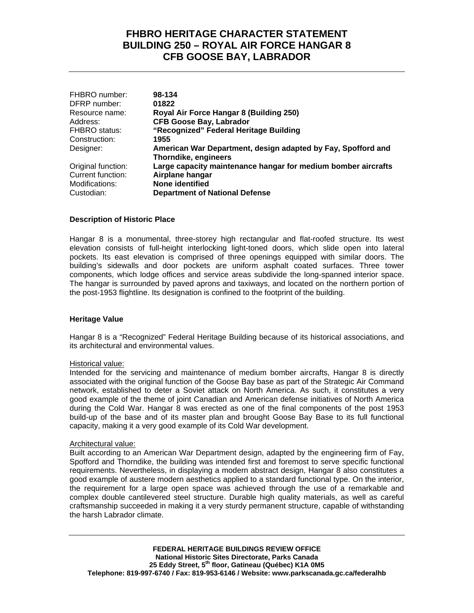# **FHBRO HERITAGE CHARACTER STATEMENT BUILDING 250 – ROYAL AIR FORCE HANGAR 8 CFB GOOSE BAY, LABRADOR**

| FHBRO number:        | 98-134                                                        |
|----------------------|---------------------------------------------------------------|
| DFRP number:         | 01822                                                         |
| Resource name:       | Royal Air Force Hangar 8 (Building 250)                       |
| Address:             | <b>CFB Goose Bay, Labrador</b>                                |
| <b>FHBRO</b> status: | "Recognized" Federal Heritage Building                        |
| Construction:        | 1955                                                          |
| Designer:            | American War Department, design adapted by Fay, Spofford and  |
|                      | Thorndike, engineers                                          |
| Original function:   | Large capacity maintenance hangar for medium bomber aircrafts |
| Current function:    | Airplane hangar                                               |
| Modifications:       | None identified                                               |
| Custodian:           | <b>Department of National Defense</b>                         |

## **Description of Historic Place**

Hangar 8 is a monumental, three-storey high rectangular and flat-roofed structure. Its west elevation consists of full-height interlocking light-toned doors, which slide open into lateral pockets. Its east elevation is comprised of three openings equipped with similar doors. The building's sidewalls and door pockets are uniform asphalt coated surfaces. Three tower components, which lodge offices and service areas subdivide the long-spanned interior space. The hangar is surrounded by paved aprons and taxiways, and located on the northern portion of the post-1953 flightline. Its designation is confined to the footprint of the building.

## **Heritage Value**

Hangar 8 is a "Recognized" Federal Heritage Building because of its historical associations, and its architectural and environmental values.

#### Historical value:

Intended for the servicing and maintenance of medium bomber aircrafts, Hangar 8 is directly associated with the original function of the Goose Bay base as part of the Strategic Air Command network, established to deter a Soviet attack on North America. As such, it constitutes a very good example of the theme of joint Canadian and American defense initiatives of North America during the Cold War. Hangar 8 was erected as one of the final components of the post 1953 build-up of the base and of its master plan and brought Goose Bay Base to its full functional capacity, making it a very good example of its Cold War development.

#### Architectural value:

Built according to an American War Department design, adapted by the engineering firm of Fay, Spofford and Thorndike, the building was intended first and foremost to serve specific functional requirements. Nevertheless, in displaying a modern abstract design, Hangar 8 also constitutes a good example of austere modern aesthetics applied to a standard functional type. On the interior, the requirement for a large open space was achieved through the use of a remarkable and complex double cantilevered steel structure. Durable high quality materials, as well as careful craftsmanship succeeded in making it a very sturdy permanent structure, capable of withstanding the harsh Labrador climate.